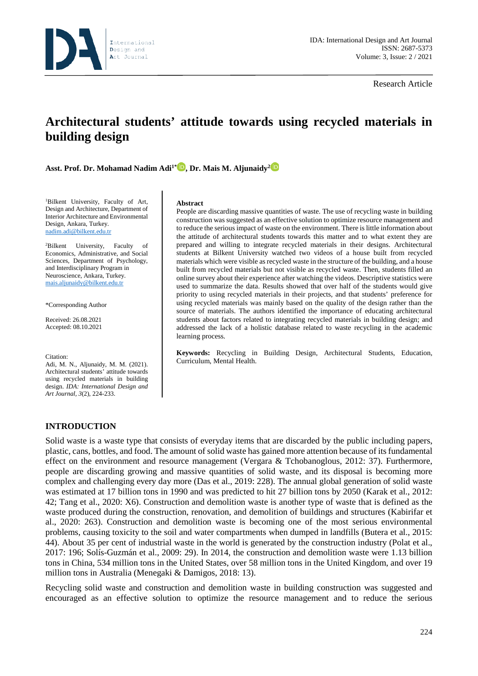

Research Article

# **Architectural students' attitude towards using recycled materials in building design**

**Asst. Prof. Dr. Mohamad Nadim Adi1[\\*](https://orcid.org/0000-0001-6763-5922) , Dr. Mais M. Aljunaidy2**

1 Bilkent University, Faculty of Art, Design and Architecture, Department of Interior Architecture and Environmental Design, Ankara, Turkey. nadim.adi@bilkent.edu.tr

<sup>2</sup>Bilkent University, Faculty of Economics, Administrative, and Social Sciences, Department of Psychology, and Interdisciplinary Program in Neuroscience, Ankara, Turkey. [mais.aljunaidy@bilkent.edu.tr](mailto:mais.aljunaidy@bilkent.edu.tr)

\*Corresponding Author

Received: 26.08.2021 Accepted: 08.10.2021

Citation:

Adi, M. N., Aljunaidy, M. M. (2021). Architectural students' attitude towards using recycled materials in building design. *IDA: International Design and Art Journal, 3*(2), 224-233.

#### **Abstract**

People are discarding massive quantities of waste. The use of recycling waste in building construction was suggested as an effective solution to optimize resource management and to reduce the serious impact of waste on the environment. There is little information about the attitude of architectural students towards this matter and to what extent they are prepared and willing to integrate recycled materials in their designs. Architectural students at Bilkent University watched two videos of a house built from recycled materials which were visible as recycled waste in the structure of the building, and a house built from recycled materials but not visible as recycled waste. Then, students filled an online survey about their experience after watching the videos. Descriptive statistics were used to summarize the data. Results showed that over half of the students would give priority to using recycled materials in their projects, and that students' preference for using recycled materials was mainly based on the quality of the design rather than the source of materials. The authors identified the importance of educating architectural students about factors related to integrating recycled materials in building design; and addressed the lack of a holistic database related to waste recycling in the academic learning process.

**Keywords:** Recycling in Building Design, Architectural Students, Education, Curriculum, Mental Health.

## **INTRODUCTION**

Solid waste is a waste type that consists of everyday items that are discarded by the public including papers, plastic, cans, bottles, and food. The amount of solid waste has gained more attention because of its fundamental effect on the environment and resource management (Vergara & Tchobanoglous, 2012: 37). Furthermore, people are discarding growing and massive quantities of solid waste, and its disposal is becoming more complex and challenging every day more (Das et al., 2019: 228). The annual global generation of solid waste was estimated at 17 billion tons in 1990 and was predicted to hit 27 billion tons by 2050 (Karak et al., 2012: 42; Tang et al., 2020: X6). Construction and demolition waste is another type of waste that is defined as the waste produced during the construction, renovation, and demolition of buildings and structures (Kabirifar et al., 2020: 263). Construction and demolition waste is becoming one of the most serious environmental problems, causing toxicity to the soil and water compartments when dumped in landfills (Butera et al., 2015: 44). About 35 per cent of industrial waste in the world is generated by the construction industry (Polat et al., 2017: 196; Solís-Guzmán et al., 2009: 29). In 2014, the construction and demolition waste were 1.13 billion tons in China, 534 million tons in the United States, over 58 million tons in the United Kingdom, and over 19 million tons in Australia (Menegaki & Damigos, 2018: 13).

Recycling solid waste and construction and demolition waste in building construction was suggested and encouraged as an effective solution to optimize the resource management and to reduce the serious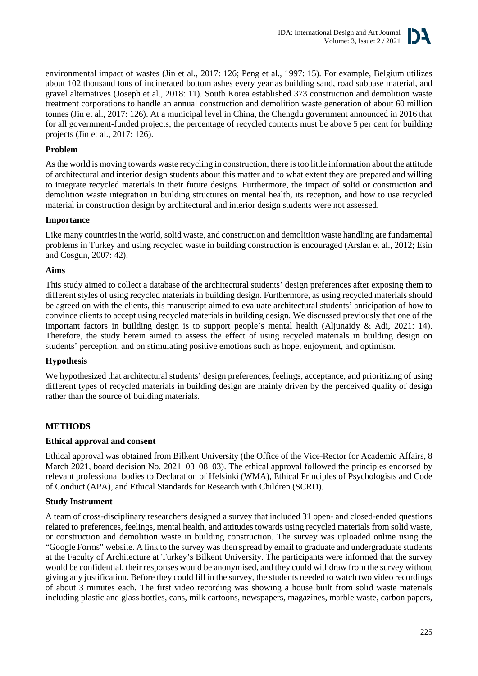

environmental impact of wastes (Jin et al., 2017: 126; Peng et al., 1997: 15). For example, Belgium utilizes about 102 thousand tons of incinerated bottom ashes every year as building sand, road subbase material, and gravel alternatives (Joseph et al., 2018: 11). South Korea established 373 construction and demolition waste treatment corporations to handle an annual construction and demolition waste generation of about 60 million tonnes (Jin et al., 2017: 126). At a municipal level in China, the Chengdu government announced in 2016 that for all government-funded projects, the percentage of recycled contents must be above 5 per cent for building projects (Jin et al., 2017: 126).

## **Problem**

As the world is moving towards waste recycling in construction, there is too little information about the attitude of architectural and interior design students about this matter and to what extent they are prepared and willing to integrate recycled materials in their future designs. Furthermore, the impact of solid or construction and demolition waste integration in building structures on mental health, its reception, and how to use recycled material in construction design by architectural and interior design students were not assessed.

## **Importance**

Like many countries in the world, solid waste, and construction and demolition waste handling are fundamental problems in Turkey and using recycled waste in building construction is encouraged (Arslan et al., 2012; Esin and Cosgun, 2007: 42).

## **Aims**

This study aimed to collect a database of the architectural students' design preferences after exposing them to different styles of using recycled materials in building design. Furthermore, as using recycled materials should be agreed on with the clients, this manuscript aimed to evaluate architectural students' anticipation of how to convince clients to accept using recycled materials in building design. We discussed previously that one of the important factors in building design is to support people's mental health (Aljunaidy & Adi, 2021: 14). Therefore, the study herein aimed to assess the effect of using recycled materials in building design on students' perception, and on stimulating positive emotions such as hope, enjoyment, and optimism.

## **Hypothesis**

We hypothesized that architectural students' design preferences, feelings, acceptance, and prioritizing of using different types of recycled materials in building design are mainly driven by the perceived quality of design rather than the source of building materials.

## **METHODS**

#### **Ethical approval and consent**

Ethical approval was obtained from Bilkent University (the Office of the Vice-Rector for Academic Affairs, 8 March 2021, board decision No. 2021\_03\_08\_03). The ethical approval followed the principles endorsed by relevant professional bodies to Declaration of Helsinki (WMA), Ethical Principles of Psychologists and Code of Conduct (APA), and Ethical Standards for Research with Children (SCRD).

## **Study Instrument**

A team of cross-disciplinary researchers designed a survey that included 31 open- and closed-ended questions related to preferences, feelings, mental health, and attitudes towards using recycled materials from solid waste, or construction and demolition waste in building construction. The survey was uploaded online using the "Google Forms" website. A link to the survey was then spread by email to graduate and undergraduate students at the Faculty of Architecture at Turkey's Bilkent University. The participants were informed that the survey would be confidential, their responses would be anonymised, and they could withdraw from the survey without giving any justification. Before they could fill in the survey, the students needed to watch two video recordings of about 3 minutes each. The first video recording was showing a house built from solid waste materials including plastic and glass bottles, cans, milk cartoons, newspapers, magazines, marble waste, carbon papers,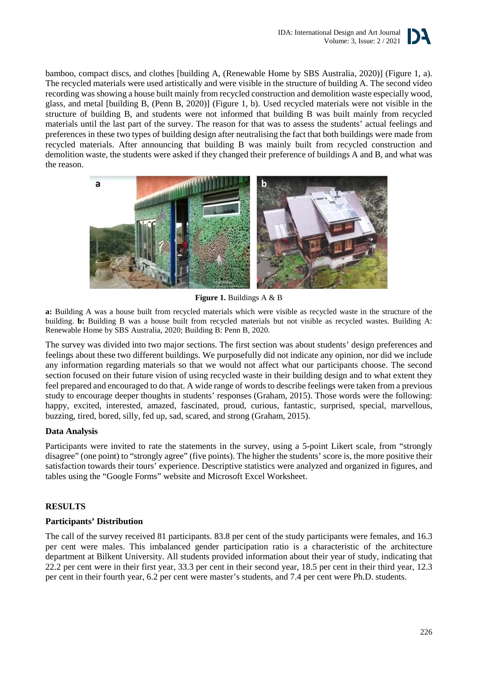

bamboo, compact discs, and clothes [building A, (Renewable Home by SBS Australia, 2020)] (Figure 1, a). The recycled materials were used artistically and were visible in the structure of building A. The second video recording was showing a house built mainly from recycled construction and demolition waste especially wood, glass, and metal [building B, (Penn B, 2020)] (Figure 1, b). Used recycled materials were not visible in the structure of building B, and students were not informed that building B was built mainly from recycled materials until the last part of the survey. The reason for that was to assess the students' actual feelings and preferences in these two types of building design after neutralising the fact that both buildings were made from recycled materials. After announcing that building B was mainly built from recycled construction and demolition waste, the students were asked if they changed their preference of buildings A and B, and what was the reason.



**Figure 1.** Buildings A & B

**a:** Building A was a house built from recycled materials which were visible as recycled waste in the structure of the building. **b:** Building B was a house built from recycled materials but not visible as recycled wastes. Building A: Renewable Home by SBS Australia, 2020; Building B: Penn B, 2020.

The survey was divided into two major sections. The first section was about students' design preferences and feelings about these two different buildings. We purposefully did not indicate any opinion, nor did we include any information regarding materials so that we would not affect what our participants choose. The second section focused on their future vision of using recycled waste in their building design and to what extent they feel prepared and encouraged to do that. A wide range of words to describe feelings were taken from a previous study to encourage deeper thoughts in students' responses (Graham, 2015). Those words were the following: happy, excited, interested, amazed, fascinated, proud, curious, fantastic, surprised, special, marvellous, buzzing, tired, bored, silly, fed up, sad, scared, and strong (Graham, 2015).

# **Data Analysis**

Participants were invited to rate the statements in the survey, using a 5-point Likert scale, from "strongly disagree" (one point) to "strongly agree" (five points). The higher the students' score is, the more positive their satisfaction towards their tours' experience. Descriptive statistics were analyzed and organized in figures, and tables using the "Google Forms" website and Microsoft Excel Worksheet.

# **RESULTS**

# **Participants' Distribution**

The call of the survey received 81 participants. 83.8 per cent of the study participants were females, and 16.3 per cent were males. This imbalanced gender participation ratio is a characteristic of the architecture department at Bilkent University. All students provided information about their year of study, indicating that 22.2 per cent were in their first year, 33.3 per cent in their second year, 18.5 per cent in their third year, 12.3 per cent in their fourth year, 6.2 per cent were master's students, and 7.4 per cent were Ph.D. students.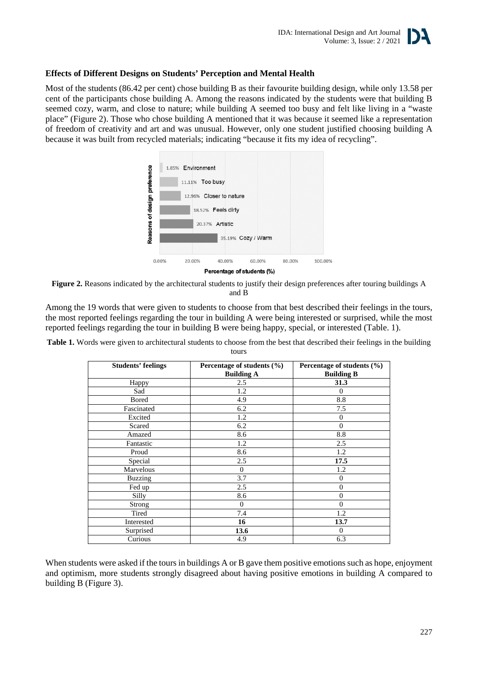

## **Effects of Different Designs on Students' Perception and Mental Health**

Most of the students (86.42 per cent) chose building B as their favourite building design, while only 13.58 per cent of the participants chose building A. Among the reasons indicated by the students were that building B seemed cozy, warm, and close to nature; while building A seemed too busy and felt like living in a "waste place" (Figure 2). Those who chose building A mentioned that it was because it seemed like a representation of freedom of creativity and art and was unusual. However, only one student justified choosing building A because it was built from recycled materials; indicating "because it fits my idea of recycling".



**Figure 2.** Reasons indicated by the architectural students to justify their design preferences after touring buildings A and B

Among the 19 words that were given to students to choose from that best described their feelings in the tours, the most reported feelings regarding the tour in building A were being interested or surprised, while the most reported feelings regarding the tour in building B were being happy, special, or interested (Table. 1).

| Table 1. Words were given to architectural students to choose from the best that described their feelings in the building |  |
|---------------------------------------------------------------------------------------------------------------------------|--|
| tours                                                                                                                     |  |

| <b>Students' feelings</b> | Percentage of students $(\% )$<br><b>Building A</b> | Percentage of students (%)<br><b>Building B</b> |
|---------------------------|-----------------------------------------------------|-------------------------------------------------|
| Happy                     | 2.5                                                 | 31.3                                            |
| Sad                       | 1.2                                                 | $\Omega$                                        |
| <b>Bored</b>              | 4.9                                                 | 8.8                                             |
| Fascinated                | 6.2                                                 | 7.5                                             |
| Excited                   | 1.2                                                 | $\Omega$                                        |
| Scared                    | 6.2                                                 | $\Omega$                                        |
| Amazed                    | 8.6                                                 | 8.8                                             |
| Fantastic                 | 1.2                                                 | 2.5                                             |
| Proud                     | 8.6                                                 | 1.2                                             |
| Special                   | 2.5                                                 | 17.5                                            |
| Marvelous                 | $\mathbf{0}$                                        | 1.2                                             |
| <b>Buzzing</b>            | 3.7                                                 | $\Omega$                                        |
| Fed up                    | 2.5                                                 | $\Omega$                                        |
| Silly                     | 8.6                                                 | $\theta$                                        |
| Strong                    | $\mathbf{0}$                                        | $\Omega$                                        |
| Tired                     | 7.4                                                 | 1.2                                             |
| Interested                | 16                                                  | 13.7                                            |
| Surprised                 | 13.6                                                | $\Omega$                                        |
| Curious                   | 4.9                                                 | 6.3                                             |

When students were asked if the tours in buildings A or B gave them positive emotions such as hope, enjoyment and optimism, more students strongly disagreed about having positive emotions in building A compared to building B (Figure 3).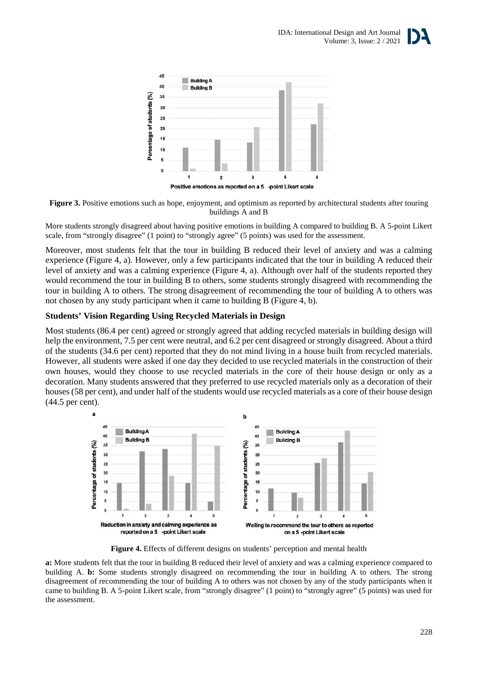



**Figure 3.** Positive emotions such as hope, enjoyment, and optimism as reported by architectural students after touring buildings A and B

More students strongly disagreed about having positive emotions in building A compared to building B. A 5-point Likert scale, from "strongly disagree" (1 point) to "strongly agree" (5 points) was used for the assessment.

Moreover, most students felt that the tour in building B reduced their level of anxiety and was a calming experience (Figure 4, a). However, only a few participants indicated that the tour in building A reduced their level of anxiety and was a calming experience (Figure 4, a). Although over half of the students reported they would recommend the tour in building B to others, some students strongly disagreed with recommending the tour in building A to others. The strong disagreement of recommending the tour of building A to others was not chosen by any study participant when it came to building B (Figure 4, b).

# **Students' Vision Regarding Using Recycled Materials in Design**

Most students (86.4 per cent) agreed or strongly agreed that adding recycled materials in building design will help the environment, 7.5 per cent were neutral, and 6.2 per cent disagreed or strongly disagreed. About a third of the students (34.6 per cent) reported that they do not mind living in a house built from recycled materials. However, all students were asked if one day they decided to use recycled materials in the construction of their own houses, would they choose to use recycled materials in the core of their house design or only as a decoration. Many students answered that they preferred to use recycled materials only as a decoration of their houses (58 per cent), and under half of the students would use recycled materials as a core of their house design (44.5 per cent).



Figure 4. Effects of different designs on students' perception and mental health

**a:** More students felt that the tour in building B reduced their level of anxiety and was a calming experience compared to building A. **b:** Some students strongly disagreed on recommending the tour in building A to others. The strong disagreement of recommending the tour of building A to others was not chosen by any of the study participants when it came to building B. A 5-point Likert scale, from "strongly disagree" (1 point) to "strongly agree" (5 points) was used for the assessment.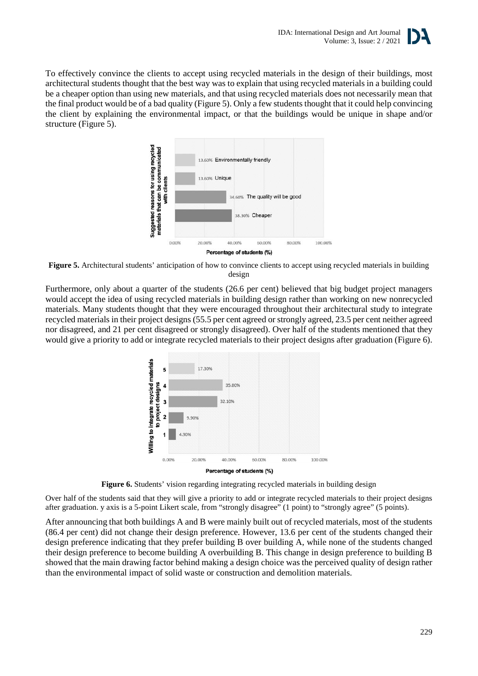

To effectively convince the clients to accept using recycled materials in the design of their buildings, most architectural students thought that the best way was to explain that using recycled materials in a building could be a cheaper option than using new materials, and that using recycled materials does not necessarily mean that the final product would be of a bad quality (Figure 5). Only a few students thought that it could help convincing the client by explaining the environmental impact, or that the buildings would be unique in shape and/or structure (Figure 5).



**Figure 5.** Architectural students' anticipation of how to convince clients to accept using recycled materials in building design

Furthermore, only about a quarter of the students (26.6 per cent) believed that big budget project managers would accept the idea of using recycled materials in building design rather than working on new nonrecycled materials. Many students thought that they were encouraged throughout their architectural study to integrate recycled materials in their project designs (55.5 per cent agreed or strongly agreed, 23.5 per cent neither agreed nor disagreed, and 21 per cent disagreed or strongly disagreed). Over half of the students mentioned that they would give a priority to add or integrate recycled materials to their project designs after graduation (Figure 6).



**Figure 6.** Students' vision regarding integrating recycled materials in building design

Over half of the students said that they will give a priority to add or integrate recycled materials to their project designs after graduation. y axis is a 5-point Likert scale, from "strongly disagree" (1 point) to "strongly agree" (5 points).

After announcing that both buildings A and B were mainly built out of recycled materials, most of the students (86.4 per cent) did not change their design preference. However, 13.6 per cent of the students changed their design preference indicating that they prefer building B over building A, while none of the students changed their design preference to become building A overbuilding B. This change in design preference to building B showed that the main drawing factor behind making a design choice was the perceived quality of design rather than the environmental impact of solid waste or construction and demolition materials.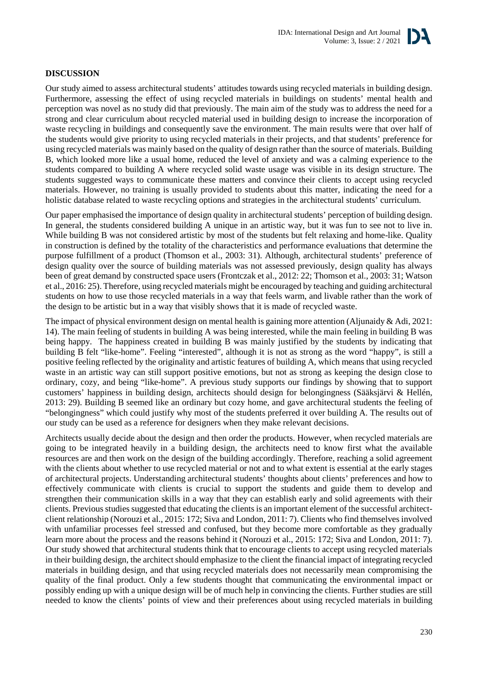

## **DISCUSSION**

Our study aimed to assess architectural students' attitudes towards using recycled materials in building design. Furthermore, assessing the effect of using recycled materials in buildings on students' mental health and perception was novel as no study did that previously. The main aim of the study was to address the need for a strong and clear curriculum about recycled material used in building design to increase the incorporation of waste recycling in buildings and consequently save the environment. The main results were that over half of the students would give priority to using recycled materials in their projects, and that students' preference for using recycled materials was mainly based on the quality of design rather than the source of materials. Building B, which looked more like a usual home, reduced the level of anxiety and was a calming experience to the students compared to building A where recycled solid waste usage was visible in its design structure. The students suggested ways to communicate these matters and convince their clients to accept using recycled materials. However, no training is usually provided to students about this matter, indicating the need for a holistic database related to waste recycling options and strategies in the architectural students' curriculum.

Our paper emphasised the importance of design quality in architectural students' perception of building design. In general, the students considered building A unique in an artistic way, but it was fun to see not to live in. While building B was not considered artistic by most of the students but felt relaxing and home-like. Quality in construction is defined by the totality of the characteristics and performance evaluations that determine the purpose fulfillment of a product (Thomson et al., 2003: 31). Although, architectural students' preference of design quality over the source of building materials was not assessed previously, design quality has always been of great demand by constructed space users (Frontczak et al., 2012: 22; Thomson et al., 2003: 31; Watson et al., 2016: 25). Therefore, using recycled materials might be encouraged by teaching and guiding architectural students on how to use those recycled materials in a way that feels warm, and livable rather than the work of the design to be artistic but in a way that visibly shows that it is made of recycled waste.

The impact of physical environment design on mental health is gaining more attention (Aljunaidy  $\&$  Adi, 2021: 14). The main feeling of students in building A was being interested, while the main feeling in building B was being happy. The happiness created in building B was mainly justified by the students by indicating that building B felt "like-home". Feeling "interested", although it is not as strong as the word "happy", is still a positive feeling reflected by the originality and artistic features of building A, which means that using recycled waste in an artistic way can still support positive emotions, but not as strong as keeping the design close to ordinary, cozy, and being "like-home". A previous study supports our findings by showing that to support customers' happiness in building design, architects should design for belongingness (Sääksjärvi & Hellén, 2013: 29). Building B seemed like an ordinary but cozy home, and gave architectural students the feeling of "belongingness" which could justify why most of the students preferred it over building A. The results out of our study can be used as a reference for designers when they make relevant decisions.

Architects usually decide about the design and then order the products. However, when recycled materials are going to be integrated heavily in a building design, the architects need to know first what the available resources are and then work on the design of the building accordingly. Therefore, reaching a solid agreement with the clients about whether to use recycled material or not and to what extent is essential at the early stages of architectural projects. Understanding architectural students' thoughts about clients' preferences and how to effectively communicate with clients is crucial to support the students and guide them to develop and strengthen their communication skills in a way that they can establish early and solid agreements with their clients. Previous studies suggested that educating the clients is an important element of the successful architectclient relationship (Norouzi et al., 2015: 172; Siva and London, 2011: 7). Clients who find themselves involved with unfamiliar processes feel stressed and confused, but they become more comfortable as they gradually learn more about the process and the reasons behind it (Norouzi et al., 2015: 172; Siva and London, 2011: 7). Our study showed that architectural students think that to encourage clients to accept using recycled materials in their building design, the architect should emphasize to the client the financial impact of integrating recycled materials in building design, and that using recycled materials does not necessarily mean compromising the quality of the final product. Only a few students thought that communicating the environmental impact or possibly ending up with a unique design will be of much help in convincing the clients. Further studies are still needed to know the clients' points of view and their preferences about using recycled materials in building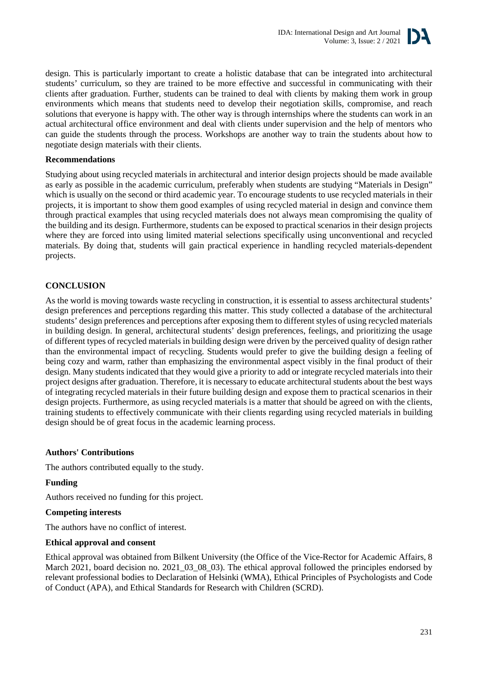

design. This is particularly important to create a holistic database that can be integrated into architectural students' curriculum, so they are trained to be more effective and successful in communicating with their clients after graduation. Further, students can be trained to deal with clients by making them work in group environments which means that students need to develop their negotiation skills, compromise, and reach solutions that everyone is happy with. The other way is through internships where the students can work in an actual architectural office environment and deal with clients under supervision and the help of mentors who can guide the students through the process. Workshops are another way to train the students about how to negotiate design materials with their clients.

## **Recommendations**

Studying about using recycled materials in architectural and interior design projects should be made available as early as possible in the academic curriculum, preferably when students are studying "Materials in Design" which is usually on the second or third academic year. To encourage students to use recycled materials in their projects, it is important to show them good examples of using recycled material in design and convince them through practical examples that using recycled materials does not always mean compromising the quality of the building and its design. Furthermore, students can be exposed to practical scenarios in their design projects where they are forced into using limited material selections specifically using unconventional and recycled materials. By doing that, students will gain practical experience in handling recycled materials-dependent projects.

# **CONCLUSION**

As the world is moving towards waste recycling in construction, it is essential to assess architectural students' design preferences and perceptions regarding this matter. This study collected a database of the architectural students' design preferences and perceptions after exposing them to different styles of using recycled materials in building design. In general, architectural students' design preferences, feelings, and prioritizing the usage of different types of recycled materials in building design were driven by the perceived quality of design rather than the environmental impact of recycling. Students would prefer to give the building design a feeling of being cozy and warm, rather than emphasizing the environmental aspect visibly in the final product of their design. Many students indicated that they would give a priority to add or integrate recycled materials into their project designs after graduation. Therefore, it is necessary to educate architectural students about the best ways of integrating recycled materials in their future building design and expose them to practical scenarios in their design projects. Furthermore, as using recycled materials is a matter that should be agreed on with the clients, training students to effectively communicate with their clients regarding using recycled materials in building design should be of great focus in the academic learning process.

## **Authors' Contributions**

The authors contributed equally to the study.

## **Funding**

Authors received no funding for this project.

## **Competing interests**

The authors have no conflict of interest.

## **Ethical approval and consent**

Ethical approval was obtained from Bilkent University (the Office of the Vice-Rector for Academic Affairs, 8 March 2021, board decision no. 2021–03–08–03). The ethical approval followed the principles endorsed by relevant professional bodies to Declaration of Helsinki (WMA), Ethical Principles of Psychologists and Code of Conduct (APA), and Ethical Standards for Research with Children (SCRD).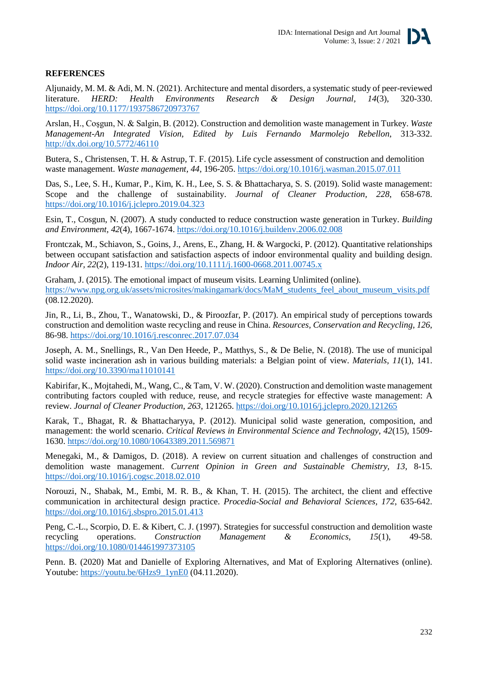

## **REFERENCES**

Aljunaidy, M. M. & Adi, M. N. (2021). Architecture and mental disorders, a systematic study of peer-reviewed literature. *HERD: Health Environments Research & Design Journal, 14*(3), 320-330. <https://doi.org/10.1177/1937586720973767>

Arslan, H., Coşgun, N. & Salgin, B. (2012). Construction and demolition waste management in Turkey. *Waste Management-An Integrated Vision, Edited by Luis Fernando Marmolejo Rebellon*, 313-332. <http://dx.doi.org/10.5772/46110>

Butera, S., Christensen, T. H. & Astrup, T. F. (2015). Life cycle assessment of construction and demolition waste management. *Waste management, 44*, 196-205. <https://doi.org/10.1016/j.wasman.2015.07.011>

Das, S., Lee, S. H., Kumar, P., Kim, K. H., Lee, S. S. & Bhattacharya, S. S. (2019). Solid waste management: Scope and the challenge of sustainability. *Journal of Cleaner Production, 228*, 658-678. <https://doi.org/10.1016/j.jclepro.2019.04.323>

Esin, T., Cosgun, N. (2007). A study conducted to reduce construction waste generation in Turkey. *Building and Environment, 42*(4), 1667-1674. <https://doi.org/10.1016/j.buildenv.2006.02.008>

Frontczak, M., Schiavon, S., Goins, J., Arens, E., Zhang, H. & Wargocki, P. (2012). Quantitative relationships between occupant satisfaction and satisfaction aspects of indoor environmental quality and building design. *Indoor Air, 22*(2), 119-131. <https://doi.org/10.1111/j.1600-0668.2011.00745.x>

Graham, J. (2015). The emotional impact of museum visits. Learning Unlimited (online). [https://www.npg.org.uk/assets/microsites/makingamark/docs/MaM\\_students\\_feel\\_about\\_museum\\_visits.pdf](https://www.npg.org.uk/assets/microsites/makingamark/docs/MaM_students_feel_about_museum_visits.pdf) (08.12.2020).

Jin, R., Li, B., Zhou, T., Wanatowski, D., & Piroozfar, P. (2017). An empirical study of perceptions towards construction and demolition waste recycling and reuse in China. *Resources, Conservation and Recycling, 126*, 86-98. <https://doi.org/10.1016/j.resconrec.2017.07.034>

Joseph, A. M., Snellings, R., Van Den Heede, P., Matthys, S., & De Belie, N. (2018). The use of municipal solid waste incineration ash in various building materials: a Belgian point of view. *Materials, 11*(1), 141. <https://doi.org/10.3390/ma11010141>

Kabirifar, K., Mojtahedi, M., Wang, C., & Tam, V. W. (2020). Construction and demolition waste management contributing factors coupled with reduce, reuse, and recycle strategies for effective waste management: A review. *Journal of Cleaner Production*, *263*, 121265. <https://doi.org/10.1016/j.jclepro.2020.121265>

Karak, T., Bhagat, R. & Bhattacharyya, P. (2012). Municipal solid waste generation, composition, and management: the world scenario. *Critical Reviews in Environmental Science and Technology, 42*(15), 1509- 1630. <https://doi.org/10.1080/10643389.2011.569871>

Menegaki, M., & Damigos, D. (2018). A review on current situation and challenges of construction and demolition waste management. *Current Opinion in Green and Sustainable Chemistry, 13*, 8-15. <https://doi.org/10.1016/j.cogsc.2018.02.010>

Norouzi, N., Shabak, M., Embi, M. R. B., & Khan, T. H. (2015). The architect, the client and effective communication in architectural design practice. *Procedia-Social and Behavioral Sciences, 172*, 635-642. <https://doi.org/10.1016/j.sbspro.2015.01.413>

Peng, C.-L., Scorpio, D. E. & Kibert, C. J. (1997). Strategies for successful construction and demolition waste recycling operations. *Construction Management & Economics, 15*(1), 49-58. <https://doi.org/10.1080/014461997373105>

Penn. B. (2020) Mat and Danielle of Exploring Alternatives, and Mat of Exploring Alternatives (online). Youtube: [https://youtu.be/6Hzs9\\_1ynE0](https://youtu.be/6Hzs9_1ynE0) (04.11.2020).